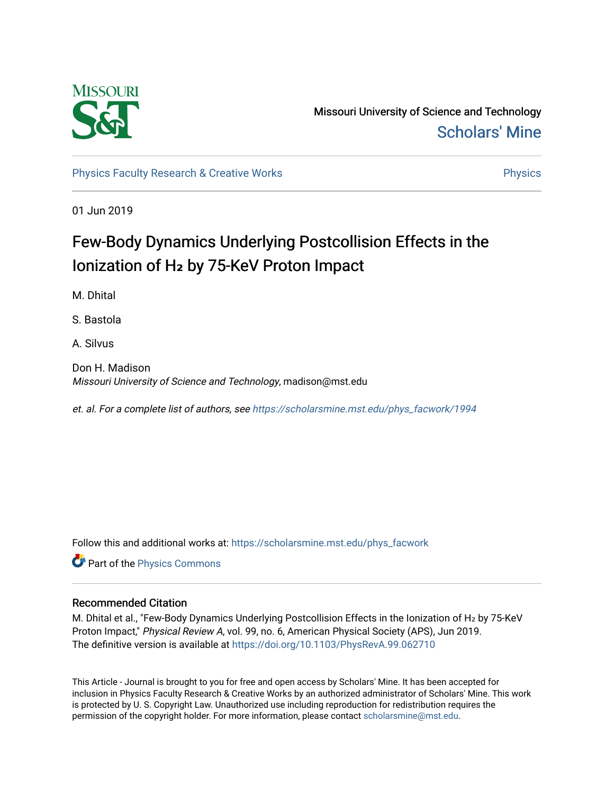

Missouri University of Science and Technology [Scholars' Mine](https://scholarsmine.mst.edu/) 

[Physics Faculty Research & Creative Works](https://scholarsmine.mst.edu/phys_facwork) **Physics** [Physics](https://scholarsmine.mst.edu/phys) Physics

01 Jun 2019

# Few-Body Dynamics Underlying Postcollision Effects in the Ionization of H<sub>2</sub> by 75-KeV Proton Impact

M. Dhital

S. Bastola

A. Silvus

Don H. Madison Missouri University of Science and Technology, madison@mst.edu

et. al. For a complete list of authors, see [https://scholarsmine.mst.edu/phys\\_facwork/1994](https://scholarsmine.mst.edu/phys_facwork/1994) 

Follow this and additional works at: [https://scholarsmine.mst.edu/phys\\_facwork](https://scholarsmine.mst.edu/phys_facwork?utm_source=scholarsmine.mst.edu%2Fphys_facwork%2F1994&utm_medium=PDF&utm_campaign=PDFCoverPages) 

**P** Part of the [Physics Commons](http://network.bepress.com/hgg/discipline/193?utm_source=scholarsmine.mst.edu%2Fphys_facwork%2F1994&utm_medium=PDF&utm_campaign=PDFCoverPages)

## Recommended Citation

M. Dhital et al., "Few-Body Dynamics Underlying Postcollision Effects in the Ionization of H<sub>2</sub> by 75-KeV Proton Impact," Physical Review A, vol. 99, no. 6, American Physical Society (APS), Jun 2019. The definitive version is available at <https://doi.org/10.1103/PhysRevA.99.062710>

This Article - Journal is brought to you for free and open access by Scholars' Mine. It has been accepted for inclusion in Physics Faculty Research & Creative Works by an authorized administrator of Scholars' Mine. This work is protected by U. S. Copyright Law. Unauthorized use including reproduction for redistribution requires the permission of the copyright holder. For more information, please contact [scholarsmine@mst.edu](mailto:scholarsmine@mst.edu).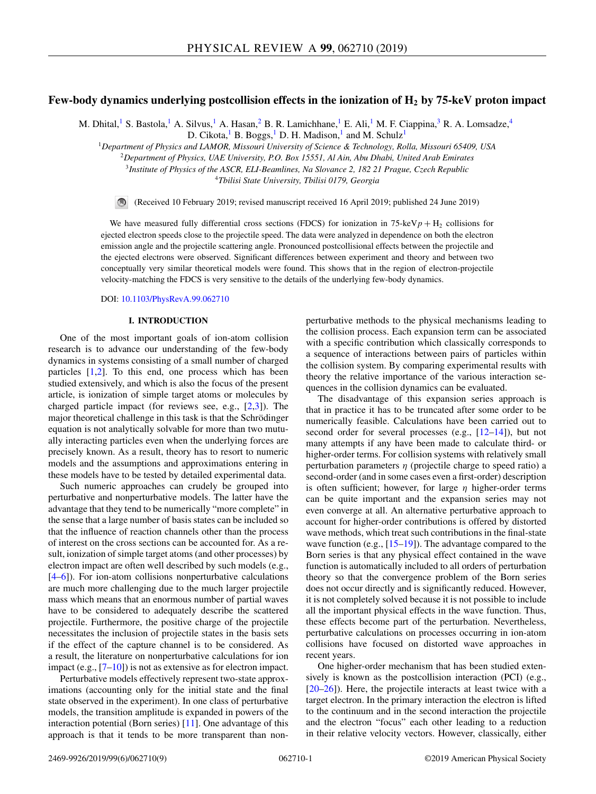## **Few-body dynamics underlying postcollision effects in the ionization of H2 by 75-keV proton impact**

M. Dhital,<sup>1</sup> S. Bastola,<sup>1</sup> A. Silvus,<sup>1</sup> A. Hasan,<sup>2</sup> B. R. Lamichhane,<sup>1</sup> E. Ali,<sup>1</sup> M. F. Ciappina,<sup>3</sup> R. A. Lomsadze,<sup>4</sup> D. Cikota, <sup>1</sup> B. Boggs, <sup>1</sup> D. H. Madison, <sup>1</sup> and M. Schulz<sup>1</sup>

<sup>1</sup>*Department of Physics and LAMOR, Missouri University of Science & Technology, Rolla, Missouri 65409, USA*

<sup>2</sup>*Department of Physics, UAE University, P.O. Box 15551, Al Ain, Abu Dhabi, United Arab Emirates*

<sup>3</sup>*Institute of Physics of the ASCR, ELI-Beamlines, Na Slovance 2, 182 21 Prague, Czech Republic*

<sup>4</sup>*Tbilisi State University, Tbilisi 0179, Georgia*

 $\bigcirc$ (Received 10 February 2019; revised manuscript received 16 April 2019; published 24 June 2019)

We have measured fully differential cross sections (FDCS) for ionization in 75-keV $p + H_2$  collisions for ejected electron speeds close to the projectile speed. The data were analyzed in dependence on both the electron emission angle and the projectile scattering angle. Pronounced postcollisional effects between the projectile and the ejected electrons were observed. Significant differences between experiment and theory and between two conceptually very similar theoretical models were found. This shows that in the region of electron-projectile velocity-matching the FDCS is very sensitive to the details of the underlying few-body dynamics.

DOI: [10.1103/PhysRevA.99.062710](https://doi.org/10.1103/PhysRevA.99.062710)

### **I. INTRODUCTION**

One of the most important goals of ion-atom collision research is to advance our understanding of the few-body dynamics in systems consisting of a small number of charged particles [\[1,2\]](#page-8-0). To this end, one process which has been studied extensively, and which is also the focus of the present article, is ionization of simple target atoms or molecules by charged particle impact (for reviews see, e.g., [\[2,3\]](#page-8-0)). The major theoretical challenge in this task is that the Schrödinger equation is not analytically solvable for more than two mutually interacting particles even when the underlying forces are precisely known. As a result, theory has to resort to numeric models and the assumptions and approximations entering in these models have to be tested by detailed experimental data.

Such numeric approaches can crudely be grouped into perturbative and nonperturbative models. The latter have the advantage that they tend to be numerically "more complete" in the sense that a large number of basis states can be included so that the influence of reaction channels other than the process of interest on the cross sections can be accounted for. As a result, ionization of simple target atoms (and other processes) by electron impact are often well described by such models (e.g., [\[4–](#page-8-0)[6\]](#page-9-0)). For ion-atom collisions nonperturbative calculations are much more challenging due to the much larger projectile mass which means that an enormous number of partial waves have to be considered to adequately describe the scattered projectile. Furthermore, the positive charge of the projectile necessitates the inclusion of projectile states in the basis sets if the effect of the capture channel is to be considered. As a result, the literature on nonperturbative calculations for ion impact (e.g.,  $[7-10]$ ) is not as extensive as for electron impact.

Perturbative models effectively represent two-state approximations (accounting only for the initial state and the final state observed in the experiment). In one class of perturbative models, the transition amplitude is expanded in powers of the interaction potential (Born series) [\[11\]](#page-9-0). One advantage of this approach is that it tends to be more transparent than nonperturbative methods to the physical mechanisms leading to the collision process. Each expansion term can be associated with a specific contribution which classically corresponds to a sequence of interactions between pairs of particles within the collision system. By comparing experimental results with theory the relative importance of the various interaction sequences in the collision dynamics can be evaluated.

The disadvantage of this expansion series approach is that in practice it has to be truncated after some order to be numerically feasible. Calculations have been carried out to second order for several processes (e.g.,  $[12-14]$ ), but not many attempts if any have been made to calculate third- or higher-order terms. For collision systems with relatively small perturbation parameters  $\eta$  (projectile charge to speed ratio) a second-order (and in some cases even a first-order) description is often sufficient; however, for large  $\eta$  higher-order terms can be quite important and the expansion series may not even converge at all. An alternative perturbative approach to account for higher-order contributions is offered by distorted wave methods, which treat such contributions in the final-state wave function (e.g., [\[15–19\]](#page-9-0)). The advantage compared to the Born series is that any physical effect contained in the wave function is automatically included to all orders of perturbation theory so that the convergence problem of the Born series does not occur directly and is significantly reduced. However, it is not completely solved because it is not possible to include all the important physical effects in the wave function. Thus, these effects become part of the perturbation. Nevertheless, perturbative calculations on processes occurring in ion-atom collisions have focused on distorted wave approaches in recent years.

One higher-order mechanism that has been studied extensively is known as the postcollision interaction (PCI) (e.g., [\[20–26\]](#page-9-0)). Here, the projectile interacts at least twice with a target electron. In the primary interaction the electron is lifted to the continuum and in the second interaction the projectile and the electron "focus" each other leading to a reduction in their relative velocity vectors. However, classically, either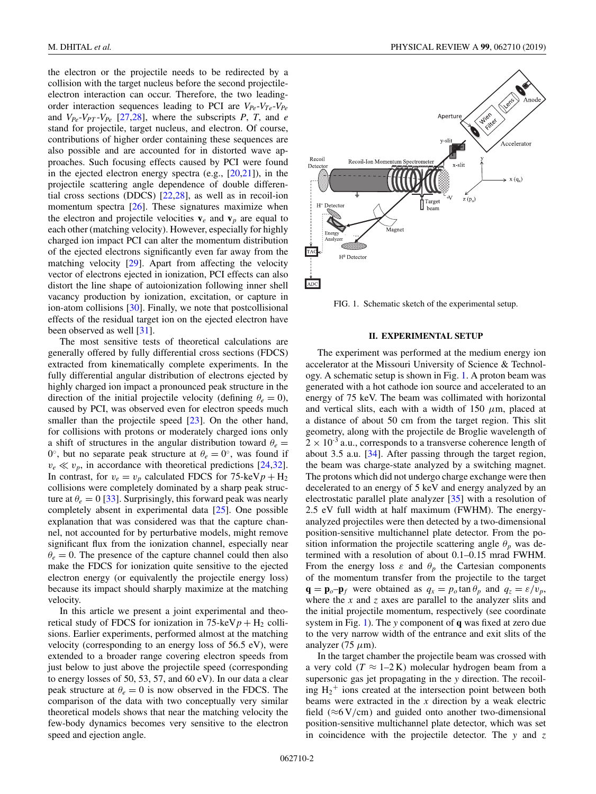the electron or the projectile needs to be redirected by a collision with the target nucleus before the second projectileelectron interaction can occur. Therefore, the two leadingorder interaction sequences leading to PCI are *VPe*-*VTe*-*VPe* and  $V_{Pe}$ - $V_{PT}$ - $V_{Pe}$  [\[27,28\]](#page-9-0), where the subscripts *P*, *T*, and *e* stand for projectile, target nucleus, and electron. Of course, contributions of higher order containing these sequences are also possible and are accounted for in distorted wave approaches. Such focusing effects caused by PCI were found in the ejected electron energy spectra (e.g., [\[20,21\]](#page-9-0)), in the projectile scattering angle dependence of double differential cross sections (DDCS) [\[22,28\]](#page-9-0), as well as in recoil-ion momentum spectra [\[26\]](#page-9-0). These signatures maximize when the electron and projectile velocities  $v_e$  and  $v_p$  are equal to each other (matching velocity). However, especially for highly charged ion impact PCI can alter the momentum distribution of the ejected electrons significantly even far away from the matching velocity [\[29\]](#page-9-0). Apart from affecting the velocity vector of electrons ejected in ionization, PCI effects can also distort the line shape of autoionization following inner shell vacancy production by ionization, excitation, or capture in ion-atom collisions [\[30\]](#page-9-0). Finally, we note that postcollisional effects of the residual target ion on the ejected electron have been observed as well [\[31\]](#page-9-0).

The most sensitive tests of theoretical calculations are generally offered by fully differential cross sections (FDCS) extracted from kinematically complete experiments. In the fully differential angular distribution of electrons ejected by highly charged ion impact a pronounced peak structure in the direction of the initial projectile velocity (defining  $\theta_e = 0$ ), caused by PCI, was observed even for electron speeds much smaller than the projectile speed [\[23\]](#page-9-0). On the other hand, for collisions with protons or moderately charged ions only a shift of structures in the angular distribution toward  $\theta_e =$  $0^\circ$ , but no separate peak structure at  $\theta_e = 0^\circ$ , was found if  $v_e \ll v_p$ , in accordance with theoretical predictions [\[24,32\]](#page-9-0). In contrast, for  $v_e = v_p$  calculated FDCS for 75-keV $p + H_2$ collisions were completely dominated by a sharp peak structure at  $\theta_e = 0$  [\[33\]](#page-9-0). Surprisingly, this forward peak was nearly completely absent in experimental data [\[25\]](#page-9-0). One possible explanation that was considered was that the capture channel, not accounted for by perturbative models, might remove significant flux from the ionization channel, especially near  $\theta_e = 0$ . The presence of the capture channel could then also make the FDCS for ionization quite sensitive to the ejected electron energy (or equivalently the projectile energy loss) because its impact should sharply maximize at the matching velocity.

In this article we present a joint experimental and theoretical study of FDCS for ionization in  $75$ -keV $p + H_2$  collisions. Earlier experiments, performed almost at the matching velocity (corresponding to an energy loss of 56.5 eV), were extended to a broader range covering electron speeds from just below to just above the projectile speed (corresponding to energy losses of 50, 53, 57, and 60 eV). In our data a clear peak structure at  $\theta_e = 0$  is now observed in the FDCS. The comparison of the data with two conceptually very similar theoretical models shows that near the matching velocity the few-body dynamics becomes very sensitive to the electron speed and ejection angle.



FIG. 1. Schematic sketch of the experimental setup.

### **II. EXPERIMENTAL SETUP**

The experiment was performed at the medium energy ion accelerator at the Missouri University of Science & Technology. A schematic setup is shown in Fig. 1. A proton beam was generated with a hot cathode ion source and accelerated to an energy of 75 keV. The beam was collimated with horizontal and vertical slits, each with a width of 150  $\mu$ m, placed at a distance of about 50 cm from the target region. This slit geometry, along with the projectile de Broglie wavelength of  $2 \times 10^{-3}$  a.u., corresponds to a transverse coherence length of about 3.5 a.u. [\[34\]](#page-9-0). After passing through the target region, the beam was charge-state analyzed by a switching magnet. The protons which did not undergo charge exchange were then decelerated to an energy of 5 keV and energy analyzed by an electrostatic parallel plate analyzer [\[35\]](#page-9-0) with a resolution of 2.5 eV full width at half maximum (FWHM). The energyanalyzed projectiles were then detected by a two-dimensional position-sensitive multichannel plate detector. From the position information the projectile scattering angle  $\theta_p$  was determined with a resolution of about 0.1–0.15 mrad FWHM. From the energy loss  $\varepsilon$  and  $\theta_p$  the Cartesian components of the momentum transfer from the projectile to the target  $\mathbf{q} = \mathbf{p}_o - \mathbf{p}_f$  were obtained as  $q_x = p_o \tan \theta_p$  and  $q_z = \varepsilon/v_p$ , where the *x* and *z* axes are parallel to the analyzer slits and the initial projectile momentum, respectively (see coordinate system in Fig. 1). The *y* component of **q** was fixed at zero due to the very narrow width of the entrance and exit slits of the analyzer (75  $\mu$ m).

In the target chamber the projectile beam was crossed with a very cold  $(T \approx 1-2K)$  molecular hydrogen beam from a supersonic gas jet propagating in the *y* direction. The recoiling  $H_2$ <sup>+</sup> ions created at the intersection point between both beams were extracted in the *x* direction by a weak electric field ( $\approx$ 6 V/cm) and guided onto another two-dimensional position-sensitive multichannel plate detector, which was set in coincidence with the projectile detector. The *y* and *z*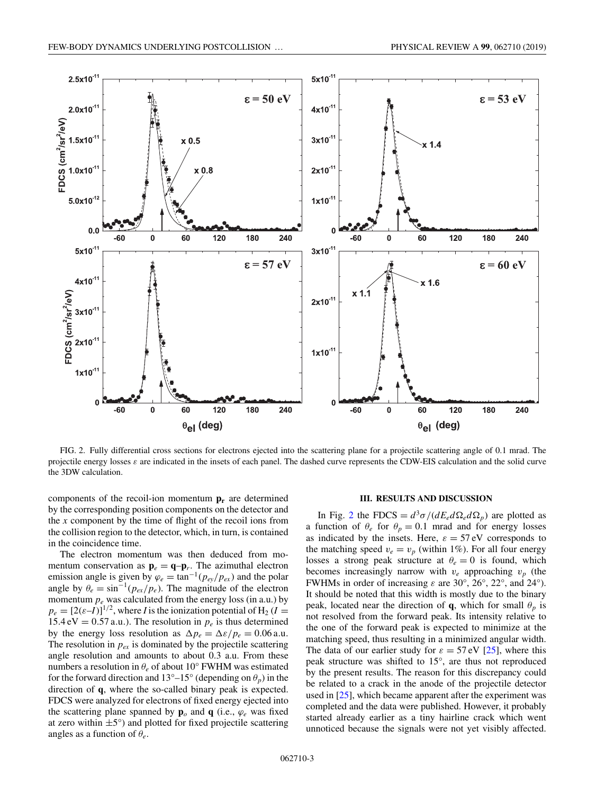<span id="page-3-0"></span>

FIG. 2. Fully differential cross sections for electrons ejected into the scattering plane for a projectile scattering angle of 0.1 mrad. The projectile energy losses  $\varepsilon$  are indicated in the insets of each panel. The dashed curve represents the CDW-EIS calculation and the solid curve the 3DW calculation.

components of the recoil-ion momentum  $\mathbf{p}_r$  are determined by the corresponding position components on the detector and the *x* component by the time of flight of the recoil ions from the collision region to the detector, which, in turn, is contained in the coincidence time.

The electron momentum was then deduced from momentum conservation as  $\mathbf{p}_e = \mathbf{q} - \mathbf{p}_r$ . The azimuthal electron emission angle is given by  $\varphi_e = \tan^{-1}(p_{ey}/p_{ex})$  and the polar angle by  $\theta_e = \sin^{-1}(p_{ex}/p_e)$ . The magnitude of the electron momentum  $p_e$  was calculated from the energy loss (in a.u.) by  $p_e = [2(\varepsilon - I)]^{1/2}$ , where *I* is the ionization potential of H<sub>2</sub> (*I* = 15.4 eV = 0.57 a.u.). The resolution in  $p_e$  is thus determined by the energy loss resolution as  $\Delta p_e = \Delta \varepsilon / p_e = 0.06$  a.u. The resolution in  $p_{ex}$  is dominated by the projectile scattering angle resolution and amounts to about 0.3 a.u. From these numbers a resolution in  $\theta_e$  of about 10° FWHM was estimated for the forward direction and  $13^{\circ}-15^{\circ}$  (depending on  $\theta_p$ ) in the direction of **q**, where the so-called binary peak is expected. FDCS were analyzed for electrons of fixed energy ejected into the scattering plane spanned by  $\mathbf{p}_o$  and  $\mathbf{q}$  (i.e.,  $\varphi_e$  was fixed at zero within  $\pm 5^{\circ}$ ) and plotted for fixed projectile scattering angles as a function of θ*e*.

#### **III. RESULTS AND DISCUSSION**

In Fig. 2 the FDCS =  $d^3\sigma/(dE_e d\Omega_e d\Omega_p)$  are plotted as a function of  $\theta_e$  for  $\theta_p = 0.1$  mrad and for energy losses as indicated by the insets. Here,  $\varepsilon = 57 \text{ eV}$  corresponds to the matching speed  $v_e = v_p$  (within 1%). For all four energy losses a strong peak structure at  $\theta_e = 0$  is found, which becomes increasingly narrow with  $v_e$  approaching  $v_p$  (the FWHMs in order of increasing  $\varepsilon$  are 30°, 26°, 22°, and 24°). It should be noted that this width is mostly due to the binary peak, located near the direction of **q**, which for small  $\theta_p$  is not resolved from the forward peak. Its intensity relative to the one of the forward peak is expected to minimize at the matching speed, thus resulting in a minimized angular width. The data of our earlier study for  $\varepsilon = 57 \text{ eV}$  [\[25\]](#page-9-0), where this peak structure was shifted to 15°, are thus not reproduced by the present results. The reason for this discrepancy could be related to a crack in the anode of the projectile detector used in [\[25\]](#page-9-0), which became apparent after the experiment was completed and the data were published. However, it probably started already earlier as a tiny hairline crack which went unnoticed because the signals were not yet visibly affected.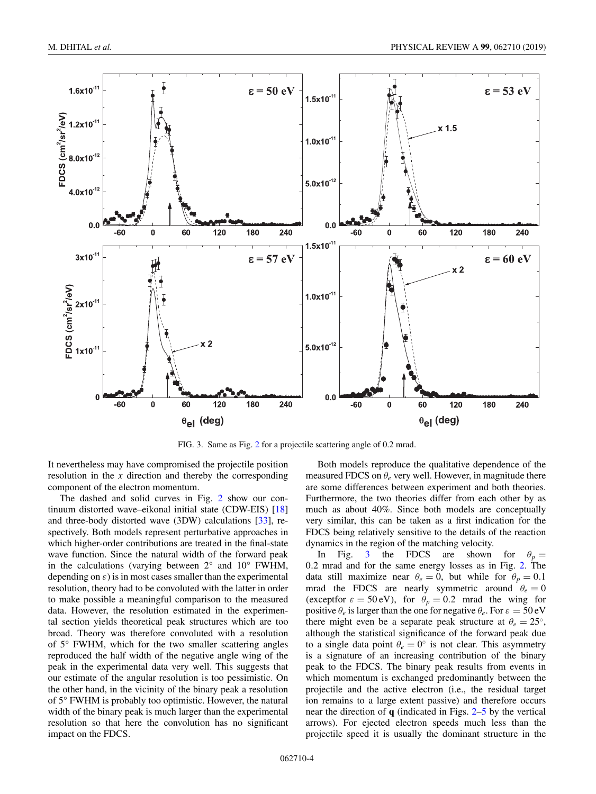

FIG. 3. Same as Fig. [2](#page-3-0) for a projectile scattering angle of 0.2 mrad.

It nevertheless may have compromised the projectile position resolution in the *x* direction and thereby the corresponding component of the electron momentum.

The dashed and solid curves in Fig. [2](#page-3-0) show our continuum distorted wave–eikonal initial state (CDW-EIS) [\[18\]](#page-9-0) and three-body distorted wave (3DW) calculations [\[33\]](#page-9-0), respectively. Both models represent perturbative approaches in which higher-order contributions are treated in the final-state wave function. Since the natural width of the forward peak in the calculations (varying between  $2^{\circ}$  and  $10^{\circ}$  FWHM, depending on  $\varepsilon$ ) is in most cases smaller than the experimental resolution, theory had to be convoluted with the latter in order to make possible a meaningful comparison to the measured data. However, the resolution estimated in the experimental section yields theoretical peak structures which are too broad. Theory was therefore convoluted with a resolution of 5° FWHM, which for the two smaller scattering angles reproduced the half width of the negative angle wing of the peak in the experimental data very well. This suggests that our estimate of the angular resolution is too pessimistic. On the other hand, in the vicinity of the binary peak a resolution of 5° FWHM is probably too optimistic. However, the natural width of the binary peak is much larger than the experimental resolution so that here the convolution has no significant impact on the FDCS.

Both models reproduce the qualitative dependence of the measured FDCS on  $\theta_e$  very well. However, in magnitude there are some differences between experiment and both theories. Furthermore, the two theories differ from each other by as much as about 40%. Since both models are conceptually very similar, this can be taken as a first indication for the FDCS being relatively sensitive to the details of the reaction dynamics in the region of the matching velocity.

In Fig. 3 the FDCS are shown for  $\theta_p =$ 0.2 mrad and for the same energy losses as in Fig. [2.](#page-3-0) The data still maximize near  $\theta_e = 0$ , but while for  $\theta_p = 0.1$ mrad the FDCS are nearly symmetric around  $\theta_e = 0$ (exceptfor  $\varepsilon = 50 \text{ eV}$ ), for  $\theta_p = 0.2$  mrad the wing for positive  $\theta_e$  is larger than the one for negative  $\theta_e$ . For  $\varepsilon = 50 \text{ eV}$ there might even be a separate peak structure at  $\theta_e = 25^\circ$ , although the statistical significance of the forward peak due to a single data point  $\theta_e = 0^\circ$  is not clear. This asymmetry is a signature of an increasing contribution of the binary peak to the FDCS. The binary peak results from events in which momentum is exchanged predominantly between the projectile and the active electron (i.e., the residual target ion remains to a large extent passive) and therefore occurs near the direction of **q** (indicated in Figs. [2](#page-3-0)[–5](#page-6-0) by the vertical arrows). For ejected electron speeds much less than the projectile speed it is usually the dominant structure in the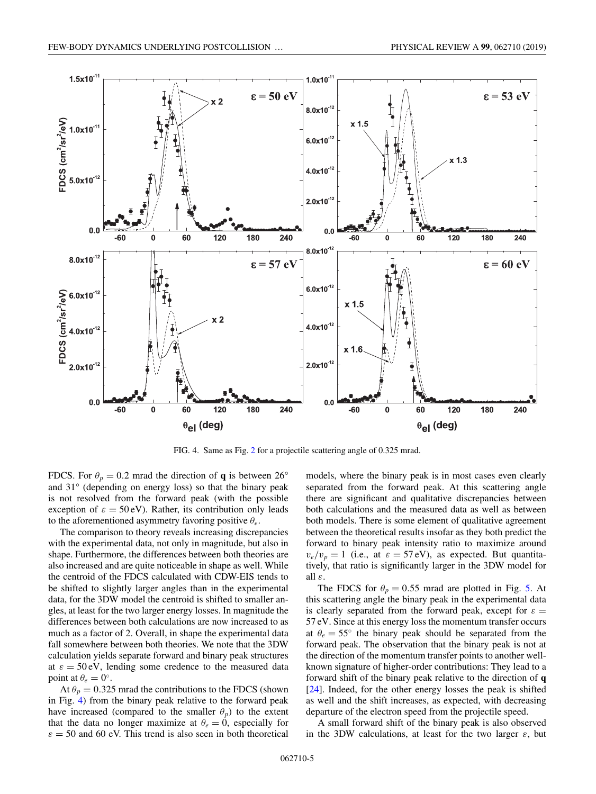

FIG. 4. Same as Fig. [2](#page-3-0) for a projectile scattering angle of 0.325 mrad.

FDCS. For  $\theta_p = 0.2$  mrad the direction of **q** is between 26° and 31° (depending on energy loss) so that the binary peak is not resolved from the forward peak (with the possible exception of  $\varepsilon = 50 \text{ eV}$ . Rather, its contribution only leads to the aforementioned asymmetry favoring positive θ*e*.

The comparison to theory reveals increasing discrepancies with the experimental data, not only in magnitude, but also in shape. Furthermore, the differences between both theories are also increased and are quite noticeable in shape as well. While the centroid of the FDCS calculated with CDW-EIS tends to be shifted to slightly larger angles than in the experimental data, for the 3DW model the centroid is shifted to smaller angles, at least for the two larger energy losses. In magnitude the differences between both calculations are now increased to as much as a factor of 2. Overall, in shape the experimental data fall somewhere between both theories. We note that the 3DW calculation yields separate forward and binary peak structures at  $\varepsilon = 50 \text{ eV}$ , lending some credence to the measured data point at  $\theta_e = 0^\circ$ .

At  $\theta_p = 0.325$  mrad the contributions to the FDCS (shown in Fig. 4) from the binary peak relative to the forward peak have increased (compared to the smaller  $\theta_p$ ) to the extent that the data no longer maximize at  $\theta_e = 0$ , especially for  $\varepsilon = 50$  and 60 eV. This trend is also seen in both theoretical models, where the binary peak is in most cases even clearly separated from the forward peak. At this scattering angle there are significant and qualitative discrepancies between both calculations and the measured data as well as between both models. There is some element of qualitative agreement between the theoretical results insofar as they both predict the forward to binary peak intensity ratio to maximize around  $v_e/v_p = 1$  (i.e., at  $\varepsilon = 57$  eV), as expected. But quantitatively, that ratio is significantly larger in the 3DW model for all ε.

The FDCS for  $\theta_p = 0.55$  mrad are plotted in Fig. [5.](#page-6-0) At this scattering angle the binary peak in the experimental data is clearly separated from the forward peak, except for  $\varepsilon =$ 57 eV. Since at this energy loss the momentum transfer occurs at  $\theta_e = 55^\circ$  the binary peak should be separated from the forward peak. The observation that the binary peak is not at the direction of the momentum transfer points to another wellknown signature of higher-order contributions: They lead to a forward shift of the binary peak relative to the direction of **q** [\[24\]](#page-9-0). Indeed, for the other energy losses the peak is shifted as well and the shift increases, as expected, with decreasing departure of the electron speed from the projectile speed.

A small forward shift of the binary peak is also observed in the 3DW calculations, at least for the two larger  $\varepsilon$ , but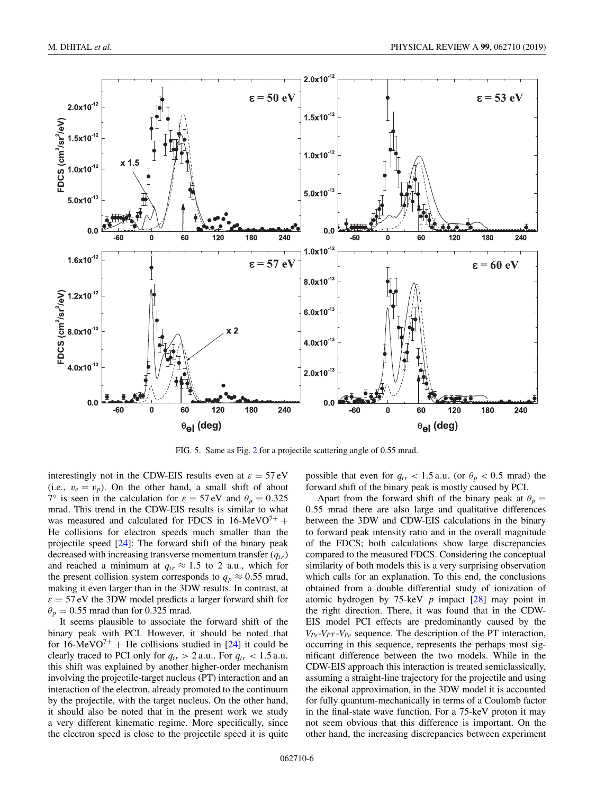<span id="page-6-0"></span>

FIG. 5. Same as Fig. [2](#page-3-0) for a projectile scattering angle of 0.55 mrad.

interestingly not in the CDW-EIS results even at  $\varepsilon = 57 \text{ eV}$ (i.e.,  $v_e = v_p$ ). On the other hand, a small shift of about 7° is seen in the calculation for  $\varepsilon = 57 \text{ eV}$  and  $\theta_p = 0.325$ mrad. This trend in the CDW-EIS results is similar to what was measured and calculated for FDCS in  $16$ -MeVO<sup>7+</sup> + He collisions for electron speeds much smaller than the projectile speed [\[24\]](#page-9-0): The forward shift of the binary peak decreased with increasing transverse momentum transfer  $(q_{tr})$ and reached a minimum at  $q_{tr} \approx 1.5$  to 2 a.u., which for the present collision system corresponds to  $q_p \approx 0.55$  mrad, making it even larger than in the 3DW results. In contrast, at  $\varepsilon = 57$  eV the 3DW model predicts a larger forward shift for  $\theta_p = 0.55$  mrad than for 0.325 mrad.

It seems plausible to associate the forward shift of the binary peak with PCI. However, it should be noted that for  $16$ -MeVO<sup>7+</sup> + He collisions studied in [\[24\]](#page-9-0) it could be clearly traced to PCI only for  $q_{tr} > 2$  a.u.. For  $q_{tr} < 1.5$  a.u. this shift was explained by another higher-order mechanism involving the projectile-target nucleus (PT) interaction and an interaction of the electron, already promoted to the continuum by the projectile, with the target nucleus. On the other hand, it should also be noted that in the present work we study a very different kinematic regime. More specifically, since the electron speed is close to the projectile speed it is quite

possible that even for  $q_{tr} < 1.5$  a.u. (or  $\theta_p < 0.5$  mrad) the forward shift of the binary peak is mostly caused by PCI.

Apart from the forward shift of the binary peak at  $\theta_p =$ 0.55 mrad there are also large and qualitative differences between the 3DW and CDW-EIS calculations in the binary to forward peak intensity ratio and in the overall magnitude of the FDCS; both calculations show large discrepancies compared to the measured FDCS. Considering the conceptual similarity of both models this is a very surprising observation which calls for an explanation. To this end, the conclusions obtained from a double differential study of ionization of atomic hydrogen by 75-keV *p* impact [\[28\]](#page-9-0) may point in the right direction. There, it was found that in the CDW-EIS model PCI effects are predominantly caused by the  $V_{Pe}$ - $V_{PT}$ - $V_{Pe}$  sequence. The description of the PT interaction, occurring in this sequence, represents the perhaps most significant difference between the two models. While in the CDW-EIS approach this interaction is treated semiclassically, assuming a straight-line trajectory for the projectile and using the eikonal approximation, in the 3DW model it is accounted for fully quantum-mechanically in terms of a Coulomb factor in the final-state wave function. For a 75-keV proton it may not seem obvious that this difference is important. On the other hand, the increasing discrepancies between experiment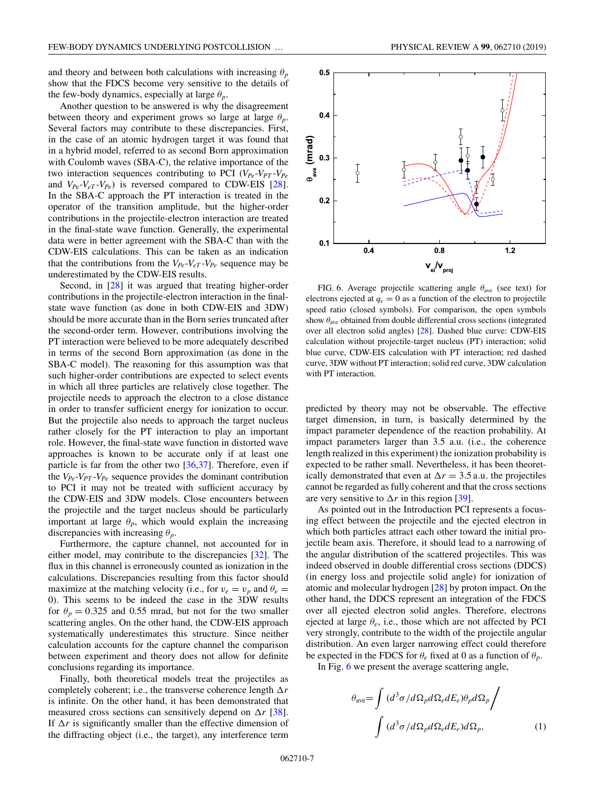<span id="page-7-0"></span>and theory and between both calculations with increasing  $\theta_p$ show that the FDCS become very sensitive to the details of the few-body dynamics, especially at large  $\theta_p$ .

Another question to be answered is why the disagreement between theory and experiment grows so large at large  $\theta_p$ . Several factors may contribute to these discrepancies. First, in the case of an atomic hydrogen target it was found that in a hybrid model, referred to as second Born approximation with Coulomb waves (SBA-C), the relative importance of the two interaction sequences contributing to PCI  $(V_{Pe} - V_{PT} - V_{Pe})$ and  $V_{Pe}$ - $V_{e}$ - $V_{Pe}$ ) is reversed compared to CDW-EIS [\[28\]](#page-9-0). In the SBA-C approach the PT interaction is treated in the operator of the transition amplitude, but the higher-order contributions in the projectile-electron interaction are treated in the final-state wave function. Generally, the experimental data were in better agreement with the SBA-C than with the CDW-EIS calculations. This can be taken as an indication that the contributions from the  $V_{Pe}$ - $V_{eT}$ - $V_{Pe}$  sequence may be underestimated by the CDW-EIS results.

Second, in [\[28\]](#page-9-0) it was argued that treating higher-order contributions in the projectile-electron interaction in the finalstate wave function (as done in both CDW-EIS and 3DW) should be more accurate than in the Born series truncated after the second-order term. However, contributions involving the PT interaction were believed to be more adequately described in terms of the second Born approximation (as done in the SBA-C model). The reasoning for this assumption was that such higher-order contributions are expected to select events in which all three particles are relatively close together. The projectile needs to approach the electron to a close distance in order to transfer sufficient energy for ionization to occur. But the projectile also needs to approach the target nucleus rather closely for the PT interaction to play an important role. However, the final-state wave function in distorted wave approaches is known to be accurate only if at least one particle is far from the other two  $[36,37]$ . Therefore, even if the  $V_{Pe}$ - $V_{PT}$ - $V_{Pe}$  sequence provides the dominant contribution to PCI it may not be treated with sufficient accuracy by the CDW-EIS and 3DW models. Close encounters between the projectile and the target nucleus should be particularly important at large  $\theta_p$ , which would explain the increasing discrepancies with increasing  $\theta_p$ .

Furthermore, the capture channel, not accounted for in either model, may contribute to the discrepancies [\[32\]](#page-9-0). The flux in this channel is erroneously counted as ionization in the calculations. Discrepancies resulting from this factor should maximize at the matching velocity (i.e., for  $v_e = v_p$  and  $\theta_e =$ 0). This seems to be indeed the case in the 3DW results for  $\theta_p = 0.325$  and 0.55 mrad, but not for the two smaller scattering angles. On the other hand, the CDW-EIS approach systematically underestimates this structure. Since neither calculation accounts for the capture channel the comparison between experiment and theory does not allow for definite conclusions regarding its importance.

Finally, both theoretical models treat the projectiles as completely coherent; i.e., the transverse coherence length  $\Delta r$ is infinite. On the other hand, it has been demonstrated that measured cross sections can sensitively depend on  $\Delta r$  [\[38\]](#page-9-0). If  $\Delta r$  is significantly smaller than the effective dimension of the diffracting object (i.e., the target), any interference term



FIG. 6. Average projectile scattering angle  $\theta_{ave}$  (see text) for electrons ejected at  $q_e = 0$  as a function of the electron to projectile speed ratio (closed symbols). For comparison, the open symbols show  $\theta_{\text{ave}}$  obtained from double differential cross sections (integrated over all electron solid angles) [\[28\]](#page-9-0). Dashed blue curve: CDW-EIS calculation without projectile-target nucleus (PT) interaction; solid blue curve, CDW-EIS calculation with PT interaction; red dashed curve, 3DW without PT interaction; solid red curve, 3DW calculation with PT interaction.

predicted by theory may not be observable. The effective target dimension, in turn, is basically determined by the impact parameter dependence of the reaction probability. At impact parameters larger than 3.5 a.u. (i.e., the coherence length realized in this experiment) the ionization probability is expected to be rather small. Nevertheless, it has been theoretically demonstrated that even at  $\Delta r = 3.5$  a.u. the projectiles cannot be regarded as fully coherent and that the cross sections are very sensitive to  $\Delta r$  in this region [\[39\]](#page-9-0).

As pointed out in the Introduction PCI represents a focusing effect between the projectile and the ejected electron in which both particles attract each other toward the initial projectile beam axis. Therefore, it should lead to a narrowing of the angular distribution of the scattered projectiles. This was indeed observed in double differential cross sections (DDCS) (in energy loss and projectile solid angle) for ionization of atomic and molecular hydrogen [\[28\]](#page-9-0) by proton impact. On the other hand, the DDCS represent an integration of the FDCS over all ejected electron solid angles. Therefore, electrons ejected at large θ*e*, i.e., those which are not affected by PCI very strongly, contribute to the width of the projectile angular distribution. An even larger narrowing effect could therefore be expected in the FDCS for  $\theta_e$  fixed at 0 as a function of  $\theta_p$ .

In Fig. 6 we present the average scattering angle,

$$
\theta_{\text{ave}} = \int (d^3 \sigma / d\Omega_p d\Omega_e dE_e) \theta_p d\Omega_p \Big/ \int (d^3 \sigma / d\Omega_p d\Omega_e dE_e) d\Omega_p, \tag{1}
$$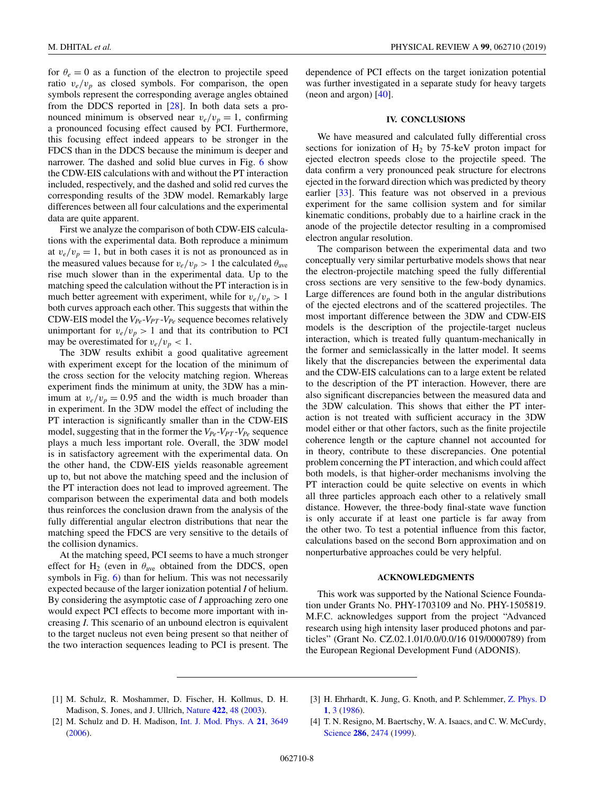<span id="page-8-0"></span>for  $\theta_e = 0$  as a function of the electron to projectile speed ratio  $v_e/v_p$  as closed symbols. For comparison, the open symbols represent the corresponding average angles obtained from the DDCS reported in [\[28\]](#page-9-0). In both data sets a pronounced minimum is observed near  $v_e/v_p = 1$ , confirming a pronounced focusing effect caused by PCI. Furthermore, this focusing effect indeed appears to be stronger in the FDCS than in the DDCS because the minimum is deeper and narrower. The dashed and solid blue curves in Fig. [6](#page-7-0) show the CDW-EIS calculations with and without the PT interaction included, respectively, and the dashed and solid red curves the corresponding results of the 3DW model. Remarkably large differences between all four calculations and the experimental data are quite apparent.

First we analyze the comparison of both CDW-EIS calculations with the experimental data. Both reproduce a minimum at  $v_e/v_p = 1$ , but in both cases it is not as pronounced as in the measured values because for  $v_e/v_p > 1$  the calculated  $\theta_{ave}$ rise much slower than in the experimental data. Up to the matching speed the calculation without the PT interaction is in much better agreement with experiment, while for  $v_e/v_p > 1$ both curves approach each other. This suggests that within the CDW-EIS model the  $V_{Pe}$ - $V_{PT}$ - $V_{Pe}$  sequence becomes relatively unimportant for  $v_e/v_p > 1$  and that its contribution to PCI may be overestimated for  $v_e/v_p < 1$ .

The 3DW results exhibit a good qualitative agreement with experiment except for the location of the minimum of the cross section for the velocity matching region. Whereas experiment finds the minimum at unity, the 3DW has a minimum at  $v_e/v_p = 0.95$  and the width is much broader than in experiment. In the 3DW model the effect of including the PT interaction is significantly smaller than in the CDW-EIS model, suggesting that in the former the  $V_{Pe}$ - $V_{PT}$ - $V_{Pe}$  sequence plays a much less important role. Overall, the 3DW model is in satisfactory agreement with the experimental data. On the other hand, the CDW-EIS yields reasonable agreement up to, but not above the matching speed and the inclusion of the PT interaction does not lead to improved agreement. The comparison between the experimental data and both models thus reinforces the conclusion drawn from the analysis of the fully differential angular electron distributions that near the matching speed the FDCS are very sensitive to the details of the collision dynamics.

At the matching speed, PCI seems to have a much stronger effect for  $H_2$  (even in  $\theta_{ave}$  obtained from the DDCS, open symbols in Fig. [6\)](#page-7-0) than for helium. This was not necessarily expected because of the larger ionization potential *I* of helium. By considering the asymptotic case of *I* approaching zero one would expect PCI effects to become more important with increasing *I*. This scenario of an unbound electron is equivalent to the target nucleus not even being present so that neither of the two interaction sequences leading to PCI is present. The

dependence of PCI effects on the target ionization potential was further investigated in a separate study for heavy targets (neon and argon) [\[40\]](#page-9-0).

### **IV. CONCLUSIONS**

We have measured and calculated fully differential cross sections for ionization of  $H_2$  by 75-keV proton impact for ejected electron speeds close to the projectile speed. The data confirm a very pronounced peak structure for electrons ejected in the forward direction which was predicted by theory earlier [\[33\]](#page-9-0). This feature was not observed in a previous experiment for the same collision system and for similar kinematic conditions, probably due to a hairline crack in the anode of the projectile detector resulting in a compromised electron angular resolution.

The comparison between the experimental data and two conceptually very similar perturbative models shows that near the electron-projectile matching speed the fully differential cross sections are very sensitive to the few-body dynamics. Large differences are found both in the angular distributions of the ejected electrons and of the scattered projectiles. The most important difference between the 3DW and CDW-EIS models is the description of the projectile-target nucleus interaction, which is treated fully quantum-mechanically in the former and semiclassically in the latter model. It seems likely that the discrepancies between the experimental data and the CDW-EIS calculations can to a large extent be related to the description of the PT interaction. However, there are also significant discrepancies between the measured data and the 3DW calculation. This shows that either the PT interaction is not treated with sufficient accuracy in the 3DW model either or that other factors, such as the finite projectile coherence length or the capture channel not accounted for in theory, contribute to these discrepancies. One potential problem concerning the PT interaction, and which could affect both models, is that higher-order mechanisms involving the PT interaction could be quite selective on events in which all three particles approach each other to a relatively small distance. However, the three-body final-state wave function is only accurate if at least one particle is far away from the other two. To test a potential influence from this factor, calculations based on the second Born approximation and on nonperturbative approaches could be very helpful.

#### **ACKNOWLEDGMENTS**

This work was supported by the National Science Foundation under Grants No. PHY-1703109 and No. PHY-1505819. M.F.C. acknowledges support from the project "Advanced research using high intensity laser produced photons and particles" (Grant No. CZ.02.1.01/0.0/0.0/16 019/0000789) from the European Regional Development Fund (ADONIS).

- [1] M. Schulz, R. Moshammer, D. Fischer, H. Kollmus, D. H. Madison, S. Jones, and J. Ullrich, [Nature](https://doi.org/10.1038/nature01415) **[422](https://doi.org/10.1038/nature01415)**, [48](https://doi.org/10.1038/nature01415) [\(2003\)](https://doi.org/10.1038/nature01415).
- [3] H. Ehrhardt, K. Jung, G. Knoth, and P. Schlemmer, [Z. Phys. D](https://doi.org/10.1007/BF01384654) **[1](https://doi.org/10.1007/BF01384654)**, [3](https://doi.org/10.1007/BF01384654) [\(1986\)](https://doi.org/10.1007/BF01384654).
- [2] M. Schulz and D. H. Madison, [Int. J. Mod. Phys. A](https://doi.org/10.1142/S0217751X06032447) **[21](https://doi.org/10.1142/S0217751X06032447)**, [3649](https://doi.org/10.1142/S0217751X06032447) [\(2006\)](https://doi.org/10.1142/S0217751X06032447).
- [4] T. N. Resigno, M. Baertschy, W. A. Isaacs, and C. W. McCurdy, [Science](https://doi.org/10.1126/science.286.5449.2474) **[286](https://doi.org/10.1126/science.286.5449.2474)**, [2474](https://doi.org/10.1126/science.286.5449.2474) [\(1999\)](https://doi.org/10.1126/science.286.5449.2474).